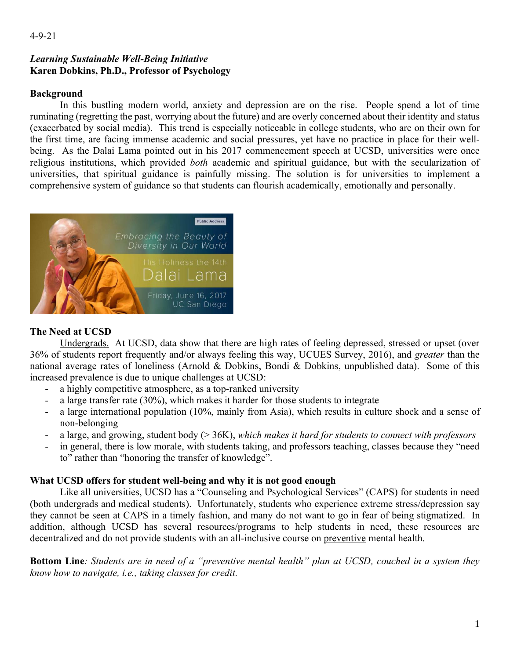### *Learning Sustainable Well-Being Initiative*  **Karen Dobkins, Ph.D., Professor of Psychology**

## **Background**

In this bustling modern world, anxiety and depression are on the rise. People spend a lot of time ruminating (regretting the past, worrying about the future) and are overly concerned about their identity and status (exacerbated by social media). This trend is especially noticeable in college students, who are on their own for the first time, are facing immense academic and social pressures, yet have no practice in place for their wellbeing. As the Dalai Lama pointed out in his 2017 commencement speech at UCSD, universities were once religious institutions, which provided *both* academic and spiritual guidance, but with the secularization of universities, that spiritual guidance is painfully missing. The solution is for universities to implement a comprehensive system of guidance so that students can flourish academically, emotionally and personally.



## **The Need at UCSD**

Undergrads.At UCSD, data show that there are high rates of feeling depressed, stressed or upset (over 36% of students report frequently and/or always feeling this way, UCUES Survey, 2016), and *greater* than the national average rates of loneliness (Arnold & Dobkins, Bondi & Dobkins, unpublished data). Some of this increased prevalence is due to unique challenges at UCSD:

- a highly competitive atmosphere, as a top-ranked university
- a large transfer rate (30%), which makes it harder for those students to integrate
- a large international population (10%, mainly from Asia), which results in culture shock and a sense of non-belonging
- a large, and growing, student body (> 36K), *which makes it hard for students to connect with professors*
- in general, there is low morale, with students taking, and professors teaching, classes because they "need to" rather than "honoring the transfer of knowledge".

#### **What UCSD offers for student well-being and why it is not good enough**

Like all universities, UCSD has a "Counseling and Psychological Services" (CAPS) for students in need (both undergrads and medical students). Unfortunately, students who experience extreme stress/depression say they cannot be seen at CAPS in a timely fashion, and many do not want to go in fear of being stigmatized. In addition, although UCSD has several resources/programs to help students in need, these resources are decentralized and do not provide students with an all-inclusive course on preventive mental health.

**Bottom Line***: Students are in need of a "preventive mental health" plan at UCSD, couched in a system they know how to navigate, i.e., taking classes for credit.*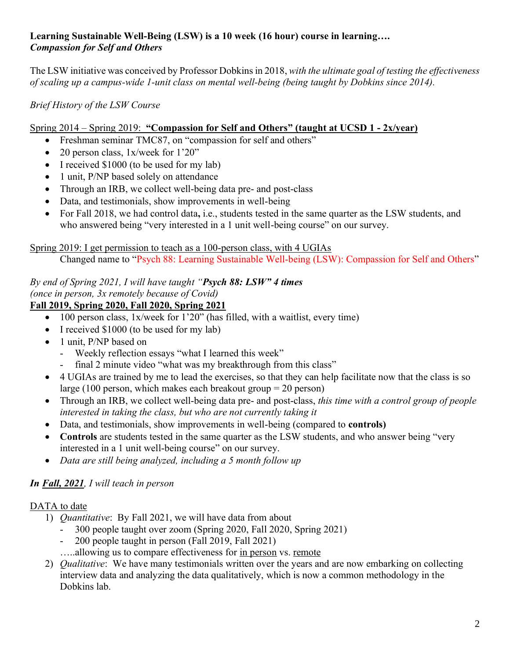## **Learning Sustainable Well-Being (LSW) is a 10 week (16 hour) course in learning….** *Compassion for Self and Others*

The LSW initiative was conceived by Professor Dobkins in 2018, *with the ultimate goal of testing the effectiveness of scaling up a campus-wide 1-unit class on mental well-being (being taught by Dobkins since 2014).*

*Brief History of the LSW Course*

## Spring 2014 – Spring 2019: **"Compassion for Self and Others" (taught at UCSD 1 - 2x/year)**

- Freshman seminar TMC87, on "compassion for self and others"
- 20 person class, 1x/week for 1'20"
- I received \$1000 (to be used for my lab)
- 1 unit, P/NP based solely on attendance
- Through an IRB, we collect well-being data pre- and post-class
- Data, and testimonials, show improvements in well-being
- For Fall 2018, we had control data**,** i.e., students tested in the same quarter as the LSW students, and who answered being "very interested in a 1 unit well-being course" on our survey.

# Spring 2019: I get permission to teach as a 100-person class, with 4 UGIAs

Changed name to "Psych 88: Learning Sustainable Well-being (LSW): Compassion for Self and Others"

#### *By end of Spring 2021, I will have taught "Psych 88: LSW" 4 times (once in person, 3x remotely because of Covid)* **Fall 2019, Spring 2020, Fall 2020, Spring 2021**

- 100 person class,  $1x$ /week for  $1'20''$  (has filled, with a waitlist, every time)
- I received \$1000 (to be used for my lab)
- 1 unit, P/NP based on
	- Weekly reflection essays "what I learned this week"
	- final 2 minute video "what was my breakthrough from this class"
- 4 UGIAs are trained by me to lead the exercises, so that they can help facilitate now that the class is so large (100 person, which makes each breakout group = 20 person)
- Through an IRB, we collect well-being data pre- and post-class, *this time with a control group of people interested in taking the class, but who are not currently taking it*
- Data, and testimonials, show improvements in well-being (compared to **controls)**
- Controls are students tested in the same quarter as the LSW students, and who answer being "very" interested in a 1 unit well-being course" on our survey.
- *Data are still being analyzed, including a 5 month follow up*

# *In Fall, 2021, I will teach in person*

# DATA to date

- 1) *Quantitative*: By Fall 2021, we will have data from about
	- 300 people taught over zoom (Spring 2020, Fall 2020, Spring 2021)
	- 200 people taught in person (Fall 2019, Fall 2021)
	- …..allowing us to compare effectiveness for in person vs. remote
- 2) *Qualitative*: We have many testimonials written over the years and are now embarking on collecting interview data and analyzing the data qualitatively, which is now a common methodology in the Dobkins lab.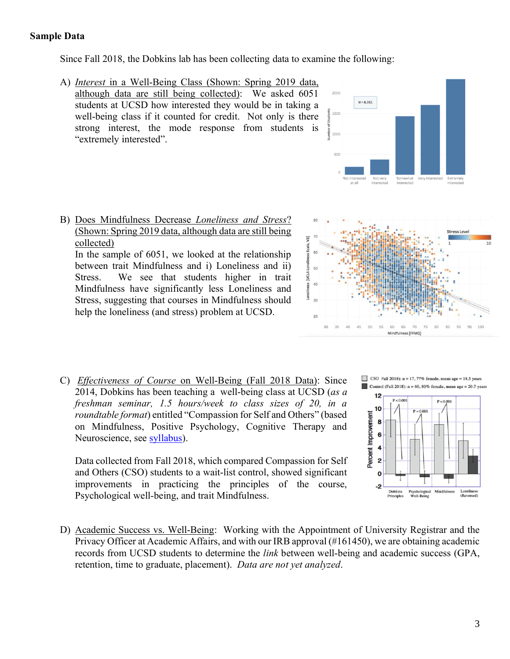#### **Sample Data**

Since Fall 2018, the Dobkins lab has been collecting data to examine the following:

A) *Interest* in a Well-Being Class (Shown: Spring 2019 data, although data are still being collected): We asked 6051 students at UCSD how interested they would be in taking a well-being class if it counted for credit. Not only is there strong interest, the mode response from students is "extremely interested".



B) Does Mindfulness Decrease *Loneliness and Stress*? (Shown: Spring 2019 data, although data are still being collected)

In the sample of 6051, we looked at the relationship between trait Mindfulness and i) Loneliness and ii) Stress. We see that students higher in trait Mindfulness have significantly less Loneliness and Stress, suggesting that courses in Mindfulness should help the loneliness (and stress) problem at UCSD.



C) *Effectiveness of Course* on Well-Being (Fall 2018 Data): Since 2014, Dobkins has been teaching a well-being class at UCSD (*as a freshman seminar, 1.5 hours/week to class sizes of 20, in a roundtable format*) entitled "Compassion for Self and Others" (based on Mindfulness, Positive Psychology, Cognitive Therapy and Neuroscience, see [syllabus\)](http://karendobkins.ucsd.edu/files/2021/04/psych88.pdf).

Data collected from Fall 2018, which compared Compassion for Self and Others (CSO) students to a wait-list control, showed significant improvements in practicing the principles of the course, Psychological well-being, and trait Mindfulness.





D) Academic Success vs. Well-Being: Working with the Appointment of University Registrar and the Privacy Officer at Academic Affairs, and with our IRB approval (#161450), we are obtaining academic records from UCSD students to determine the *link* between well-being and academic success (GPA, retention, time to graduate, placement). *Data are not yet analyzed*.